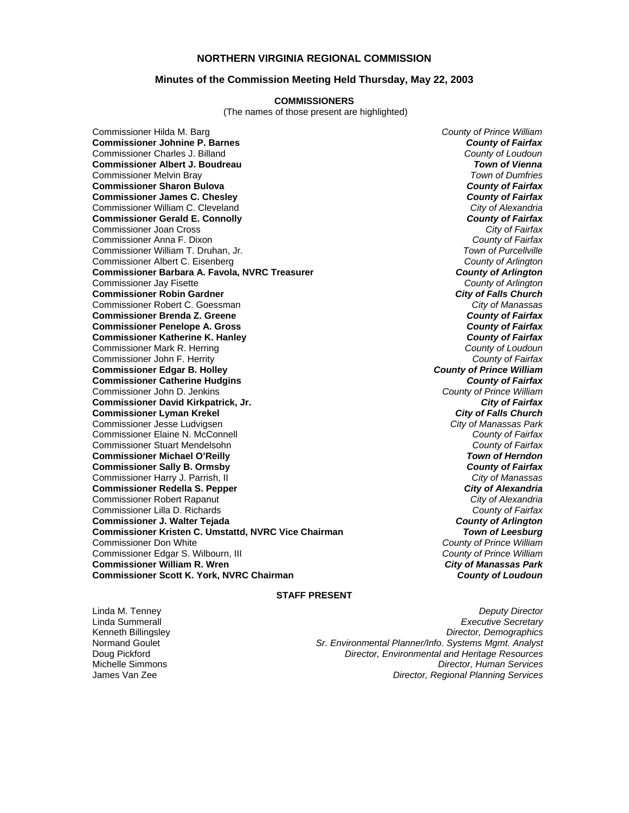### **NORTHERN VIRGINIA REGIONAL COMMISSION**

#### **Minutes of the Commission Meeting Held Thursday, May 22, 2003**

#### **COMMISSIONERS**

(The names of those present are highlighted)

Commissioner Hilda M. Barg *County of Prince William* **Commissioner Johnine P. Barnes** *County of Fairfax* Commissioner Charles J. Billand *County of Loudoun* **Commissioner Albert J. Boudreau** *Town of Vienna* Commissioner Melvin Bray *Town of Dumfries* **Commissioner Sharon Bulova** *County of Fairfax* **Commissioner James C. Chesley** Commissioner William C. Cleveland *City of Alexandria* **Commissioner Gerald E. Connolly** *County of Fairfax* Commissioner Joan Cross *City of Fairfax* Commissioner Anna F. Dixon *County of Fairfax* Commissioner William T. Druhan, Jr. *Town of Purcellville* Commissioner Albert C. Eisenberg *County of Arlington* **Commissioner Barbara A. Favola, NVRC Treasurer** *County of Arlington* Commissioner Jay Fisette *County of Arlington* **Commissioner Robin Gardner** *City of Falls Church* Commissioner Robert C. Goessman *City of Manassas* **Commissioner Brenda Z. Greene** *County of Fairfax* **Commissioner Penelope A. Gross Commissioner Katherine K. Hanley** *County of Fairfax* Commissioner Mark R. Herring *County of Loudoun* Commissioner John F. Herrity *County of Fairfax* **Commissioner Edgar B. Holley** *County of Prince William* **Commissioner Catherine Hudgins** *County of Fairfax* Commissioner John D. Jenkins *County of Prince William* **Commissioner David Kirkpatrick, Jr.** *City of Fairfax* **Commissioner Lyman Krekel** *City of Falls Church* Commissioner Jesse Ludvigsen *City of Manassas Park* Commissioner Elaine N. McConnell *County of Fairfax* Commissioner Stuart Mendelsohn *County of Fairfax* **Commissioner Michael O'Reilly** *Town of Herndon* **Commissioner Sally B. Ormsby** *County of Fairfax* Commissioner Harry J. Parrish, II *City of Manassas* **Commissioner Redella S. Pepper** *City of Alexandria* Commissioner Robert Rapanut *City of Alexandria* Commissioner Lilla D. Richards *County of Fairfax* **Commissioner J. Walter Tejada** *County of Arlington* **Commissioner Kristen C. Umstattd, NVRC Vice Chairman** *Commissioner Don White* Commissioner Edgar S. Wilbourn, III *County of Prince William* **Commissioner William R. Wren** *City of Manassas Park* **Commissioner Scott K. York, NVRC Chairman** 

**County of Prince William<br>County of Prince William** 

#### **STAFF PRESENT**

Linda M. Tenney *Deputy Director* Linda Summerall *Executive Secretary* Kenneth Billingsley *Director, Demographics* Sr. Environmental Planner/Info. Systems Mgmt. Analyst Doug Pickford *Director, Environmental and Heritage Resources* Michelle Simmons *Director, Human Services* James Van Zee *Director, Regional Planning Services*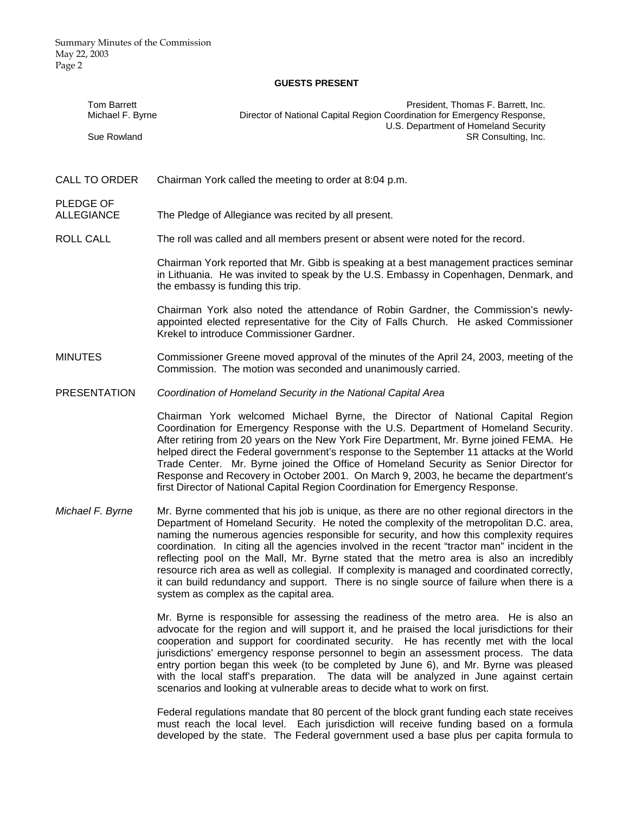#### **GUESTS PRESENT**

|                     | <b>Tom Barrett</b><br>Michael F. Byrne | President, Thomas F. Barrett, Inc.<br>Director of National Capital Region Coordination for Emergency Response,                                                                                                                                                                                                                                                                                                                                                                                                                                                                                                                                                                                                       |
|---------------------|----------------------------------------|----------------------------------------------------------------------------------------------------------------------------------------------------------------------------------------------------------------------------------------------------------------------------------------------------------------------------------------------------------------------------------------------------------------------------------------------------------------------------------------------------------------------------------------------------------------------------------------------------------------------------------------------------------------------------------------------------------------------|
|                     | Sue Rowland                            | U.S. Department of Homeland Security<br>SR Consulting, Inc.                                                                                                                                                                                                                                                                                                                                                                                                                                                                                                                                                                                                                                                          |
|                     | <b>CALL TO ORDER</b>                   | Chairman York called the meeting to order at 8:04 p.m.                                                                                                                                                                                                                                                                                                                                                                                                                                                                                                                                                                                                                                                               |
| PLEDGE OF           | <b>ALLEGIANCE</b>                      | The Pledge of Allegiance was recited by all present.                                                                                                                                                                                                                                                                                                                                                                                                                                                                                                                                                                                                                                                                 |
| <b>ROLL CALL</b>    |                                        | The roll was called and all members present or absent were noted for the record.                                                                                                                                                                                                                                                                                                                                                                                                                                                                                                                                                                                                                                     |
|                     |                                        | Chairman York reported that Mr. Gibb is speaking at a best management practices seminar<br>in Lithuania. He was invited to speak by the U.S. Embassy in Copenhagen, Denmark, and<br>the embassy is funding this trip.                                                                                                                                                                                                                                                                                                                                                                                                                                                                                                |
|                     |                                        | Chairman York also noted the attendance of Robin Gardner, the Commission's newly-<br>appointed elected representative for the City of Falls Church. He asked Commissioner<br>Krekel to introduce Commissioner Gardner.                                                                                                                                                                                                                                                                                                                                                                                                                                                                                               |
| <b>MINUTES</b>      |                                        | Commissioner Greene moved approval of the minutes of the April 24, 2003, meeting of the<br>Commission. The motion was seconded and unanimously carried.                                                                                                                                                                                                                                                                                                                                                                                                                                                                                                                                                              |
| <b>PRESENTATION</b> |                                        | Coordination of Homeland Security in the National Capital Area                                                                                                                                                                                                                                                                                                                                                                                                                                                                                                                                                                                                                                                       |
|                     |                                        | Chairman York welcomed Michael Byrne, the Director of National Capital Region<br>Coordination for Emergency Response with the U.S. Department of Homeland Security.<br>After retiring from 20 years on the New York Fire Department, Mr. Byrne joined FEMA. He<br>helped direct the Federal government's response to the September 11 attacks at the World<br>Trade Center. Mr. Byrne joined the Office of Homeland Security as Senior Director for<br>Response and Recovery in October 2001. On March 9, 2003, he became the department's<br>first Director of National Capital Region Coordination for Emergency Response.                                                                                         |
|                     | Michael F. Byrne                       | Mr. Byrne commented that his job is unique, as there are no other regional directors in the<br>Department of Homeland Security. He noted the complexity of the metropolitan D.C. area,<br>naming the numerous agencies responsible for security, and how this complexity requires<br>coordination. In citing all the agencies involved in the recent "tractor man" incident in the<br>reflecting pool on the Mall, Mr. Byrne stated that the metro area is also an incredibly<br>resource rich area as well as collegial. If complexity is managed and coordinated correctly,<br>it can build redundancy and support. There is no single source of failure when there is a<br>system as complex as the capital area. |
|                     |                                        | Mr. Byrne is responsible for assessing the readiness of the metro area. He is also an<br>advocate for the region and will support it, and he praised the local jurisdictions for their<br>cooperation and cuppert for coordinated coourity. He has recently met with the local                                                                                                                                                                                                                                                                                                                                                                                                                                       |

cooperation and support for coordinated security. He has recently met with the local jurisdictions' emergency response personnel to begin an assessment process. The data entry portion began this week (to be completed by June 6), and Mr. Byrne was pleased with the local staff's preparation. The data will be analyzed in June against certain scenarios and looking at vulnerable areas to decide what to work on first.

Federal regulations mandate that 80 percent of the block grant funding each state receives must reach the local level. Each jurisdiction will receive funding based on a formula developed by the state. The Federal government used a base plus per capita formula to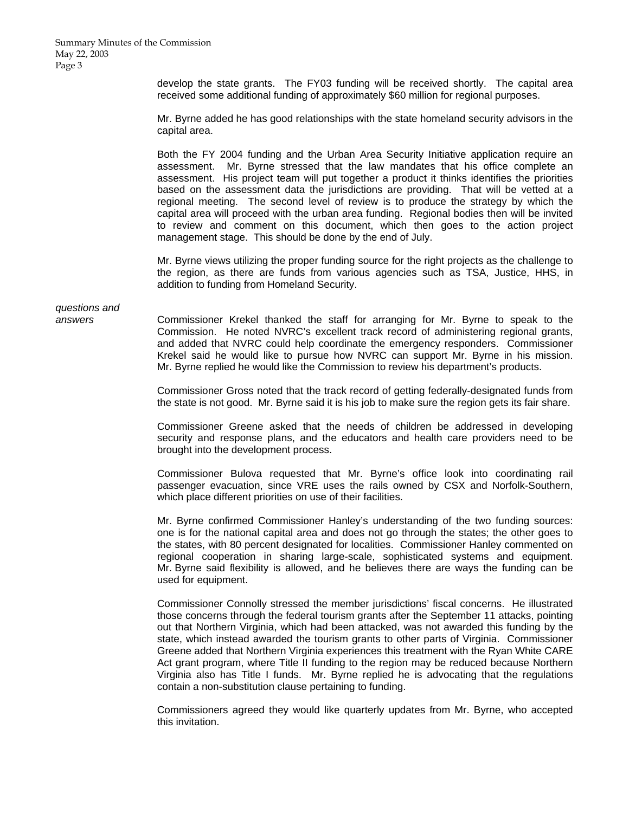develop the state grants. The FY03 funding will be received shortly. The capital area received some additional funding of approximately \$60 million for regional purposes.

Mr. Byrne added he has good relationships with the state homeland security advisors in the capital area.

Both the FY 2004 funding and the Urban Area Security Initiative application require an assessment. Mr. Byrne stressed that the law mandates that his office complete an assessment. His project team will put together a product it thinks identifies the priorities based on the assessment data the jurisdictions are providing. That will be vetted at a regional meeting. The second level of review is to produce the strategy by which the capital area will proceed with the urban area funding. Regional bodies then will be invited to review and comment on this document, which then goes to the action project management stage. This should be done by the end of July.

Mr. Byrne views utilizing the proper funding source for the right projects as the challenge to the region, as there are funds from various agencies such as TSA, Justice, HHS, in addition to funding from Homeland Security.

*questions and* 

*answers* Commissioner Krekel thanked the staff for arranging for Mr. Byrne to speak to the Commission. He noted NVRC's excellent track record of administering regional grants, and added that NVRC could help coordinate the emergency responders. Commissioner Krekel said he would like to pursue how NVRC can support Mr. Byrne in his mission. Mr. Byrne replied he would like the Commission to review his department's products.

> Commissioner Gross noted that the track record of getting federally-designated funds from the state is not good. Mr. Byrne said it is his job to make sure the region gets its fair share.

> Commissioner Greene asked that the needs of children be addressed in developing security and response plans, and the educators and health care providers need to be brought into the development process.

> Commissioner Bulova requested that Mr. Byrne's office look into coordinating rail passenger evacuation, since VRE uses the rails owned by CSX and Norfolk-Southern, which place different priorities on use of their facilities.

> Mr. Byrne confirmed Commissioner Hanley's understanding of the two funding sources: one is for the national capital area and does not go through the states; the other goes to the states, with 80 percent designated for localities. Commissioner Hanley commented on regional cooperation in sharing large-scale, sophisticated systems and equipment. Mr. Byrne said flexibility is allowed, and he believes there are ways the funding can be used for equipment.

> Commissioner Connolly stressed the member jurisdictions' fiscal concerns. He illustrated those concerns through the federal tourism grants after the September 11 attacks, pointing out that Northern Virginia, which had been attacked, was not awarded this funding by the state, which instead awarded the tourism grants to other parts of Virginia. Commissioner Greene added that Northern Virginia experiences this treatment with the Ryan White CARE Act grant program, where Title II funding to the region may be reduced because Northern Virginia also has Title I funds. Mr. Byrne replied he is advocating that the regulations contain a non-substitution clause pertaining to funding.

> Commissioners agreed they would like quarterly updates from Mr. Byrne, who accepted this invitation.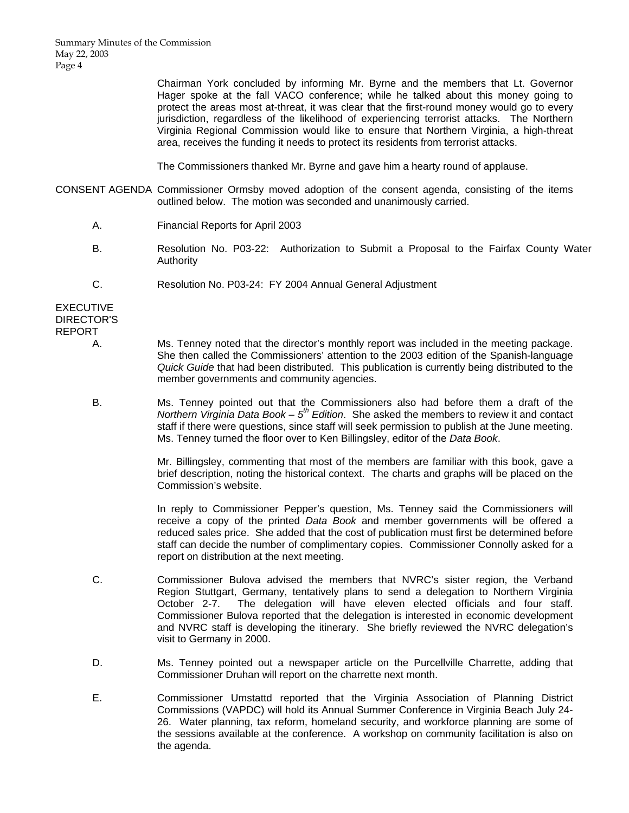Summary Minutes of the Commission May 22, 2003 Page 4

> Chairman York concluded by informing Mr. Byrne and the members that Lt. Governor Hager spoke at the fall VACO conference; while he talked about this money going to protect the areas most at-threat, it was clear that the first-round money would go to every jurisdiction, regardless of the likelihood of experiencing terrorist attacks. The Northern Virginia Regional Commission would like to ensure that Northern Virginia, a high-threat area, receives the funding it needs to protect its residents from terrorist attacks.

The Commissioners thanked Mr. Byrne and gave him a hearty round of applause.

- CONSENT AGENDA Commissioner Ormsby moved adoption of the consent agenda, consisting of the items outlined below. The motion was seconded and unanimously carried.
	- A. Financial Reports for April 2003
	- B. Resolution No. P03-22: Authorization to Submit a Proposal to the Fairfax County Water Authority
	- C. Resolution No. P03-24: FY 2004 Annual General Adjustment

EXECUTIVE DIRECTOR'S REPORT

- A. Ms. Tenney noted that the director's monthly report was included in the meeting package. She then called the Commissioners' attention to the 2003 edition of the Spanish-language *Quick Guide* that had been distributed. This publication is currently being distributed to the member governments and community agencies.
- B. Ms. Tenney pointed out that the Commissioners also had before them a draft of the *Northern Virginia Data Book – 5th Edition*. She asked the members to review it and contact staff if there were questions, since staff will seek permission to publish at the June meeting. Ms. Tenney turned the floor over to Ken Billingsley, editor of the *Data Book*.

 Mr. Billingsley, commenting that most of the members are familiar with this book, gave a brief description, noting the historical context. The charts and graphs will be placed on the Commission's website.

 In reply to Commissioner Pepper's question, Ms. Tenney said the Commissioners will receive a copy of the printed *Data Book* and member governments will be offered a reduced sales price. She added that the cost of publication must first be determined before staff can decide the number of complimentary copies. Commissioner Connolly asked for a report on distribution at the next meeting.

- C. Commissioner Bulova advised the members that NVRC's sister region, the Verband Region Stuttgart, Germany, tentatively plans to send a delegation to Northern Virginia October 2-7. The delegation will have eleven elected officials and four staff. Commissioner Bulova reported that the delegation is interested in economic development and NVRC staff is developing the itinerary. She briefly reviewed the NVRC delegation's visit to Germany in 2000.
- D. Ms. Tenney pointed out a newspaper article on the Purcellville Charrette, adding that Commissioner Druhan will report on the charrette next month.
- E. Commissioner Umstattd reported that the Virginia Association of Planning District Commissions (VAPDC) will hold its Annual Summer Conference in Virginia Beach July 24- 26. Water planning, tax reform, homeland security, and workforce planning are some of the sessions available at the conference. A workshop on community facilitation is also on the agenda.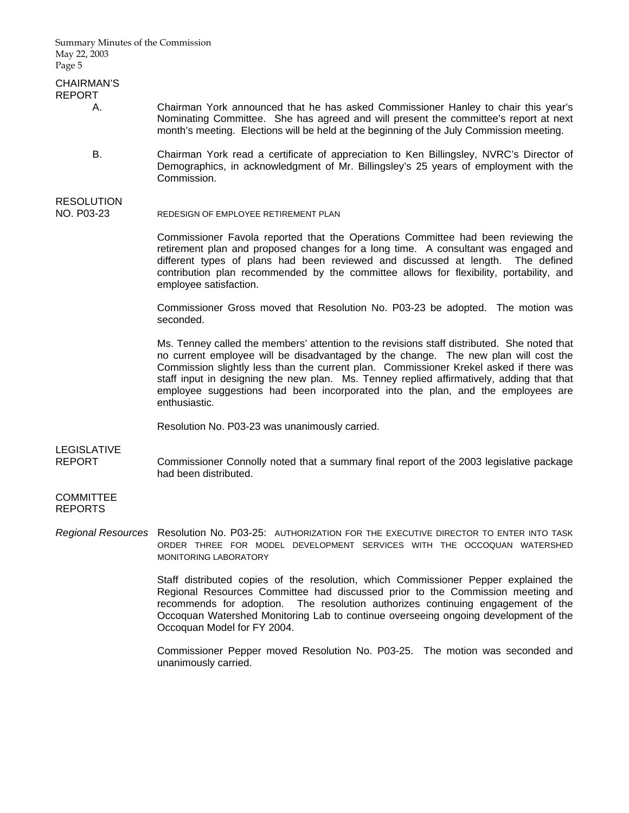Summary Minutes of the Commission May 22, 2003 Page 5

## CHAIRMAN'S REPORT

- A. Chairman York announced that he has asked Commissioner Hanley to chair this year's Nominating Committee. She has agreed and will present the committee's report at next month's meeting. Elections will be held at the beginning of the July Commission meeting.
- B. Chairman York read a certificate of appreciation to Ken Billingsley, NVRC's Director of Demographics, in acknowledgment of Mr. Billingsley's 25 years of employment with the Commission.

# RESOLUTION

NO. P03-23 REDESIGN OF EMPLOYEE RETIREMENT PLAN

Commissioner Favola reported that the Operations Committee had been reviewing the retirement plan and proposed changes for a long time. A consultant was engaged and different types of plans had been reviewed and discussed at length. The defined contribution plan recommended by the committee allows for flexibility, portability, and employee satisfaction.

Commissioner Gross moved that Resolution No. P03-23 be adopted. The motion was seconded.

Ms. Tenney called the members' attention to the revisions staff distributed. She noted that no current employee will be disadvantaged by the change. The new plan will cost the Commission slightly less than the current plan. Commissioner Krekel asked if there was staff input in designing the new plan. Ms. Tenney replied affirmatively, adding that that employee suggestions had been incorporated into the plan, and the employees are enthusiastic.

Resolution No. P03-23 was unanimously carried.

LEGISLATIVE

REPORT Commissioner Connolly noted that a summary final report of the 2003 legislative package had been distributed.

#### **COMMITTEE** REPORTS

*Regional Resources* Resolution No. P03-25: AUTHORIZATION FOR THE EXECUTIVE DIRECTOR TO ENTER INTO TASK ORDER THREE FOR MODEL DEVELOPMENT SERVICES WITH THE OCCOQUAN WATERSHED MONITORING LABORATORY

> Staff distributed copies of the resolution, which Commissioner Pepper explained the Regional Resources Committee had discussed prior to the Commission meeting and recommends for adoption. The resolution authorizes continuing engagement of the Occoquan Watershed Monitoring Lab to continue overseeing ongoing development of the Occoquan Model for FY 2004.

> Commissioner Pepper moved Resolution No. P03-25. The motion was seconded and unanimously carried.